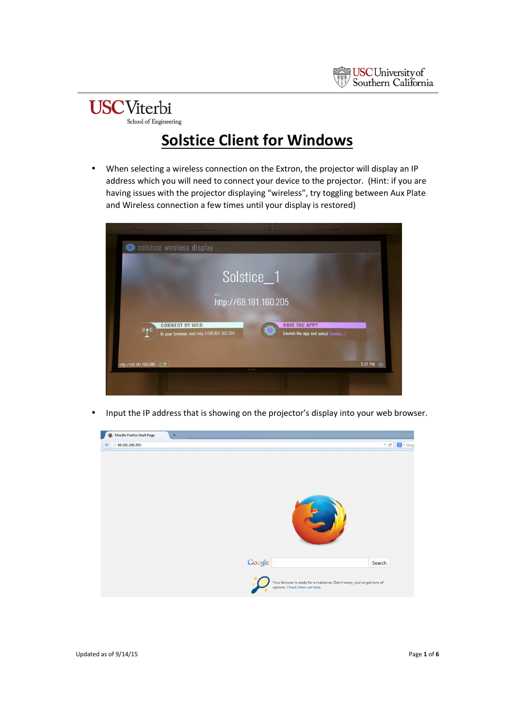

#### **USC**Viterbi School of Engineering

### **Solstice Client for Windows**

• When selecting a wireless connection on the Extron, the projector will display an IP address which you will need to connect your device to the projector. (Hint: if you are having issues with the projector displaying "wireless", try toggling between Aux Plate and Wireless connection a few times until your display is restored)

| Solstice wireless display                                                                                                                              |         |
|--------------------------------------------------------------------------------------------------------------------------------------------------------|---------|
| Solstice_1                                                                                                                                             |         |
| WEB:<br>http://68.181.160.205                                                                                                                          |         |
| <b>HAVE THE APP?</b><br><b>CONNECT BY WEB:</b><br>$((\gamma))$<br>In your browser, visit http://68.181.160.205<br>Launch the app and select Solstice_1 |         |
| http://68.181.160.205                                                                                                                                  | 5:27 PM |
|                                                                                                                                                        |         |

• Input the IP address that is showing on the projector's display into your web browser.

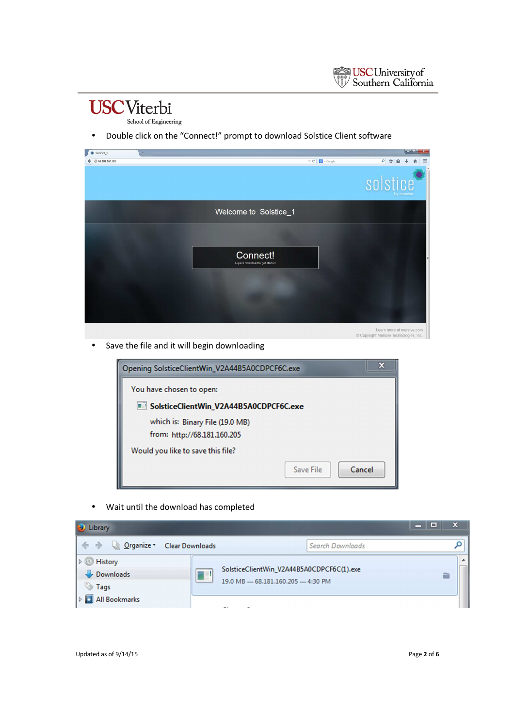## **USC**Viterbi

School of Engineering

• Double click on the "Connect!" prompt to download Solstice Client software

| Solstice_1<br>٠     | $+$ |                                                  | $-6-x$                                                            |
|---------------------|-----|--------------------------------------------------|-------------------------------------------------------------------|
| 68.181.160.205<br>÷ |     | $\mathrel{\triangledown} \mathrel{\mathcal{C}}'$ | ♪ ☆ 自<br>S + Google<br>≡                                          |
|                     |     |                                                  | solstice<br>by mersive                                            |
|                     |     | Welcome to Solstice_1                            |                                                                   |
|                     |     | Connect!<br>A quick download to get started      |                                                                   |
|                     |     |                                                  |                                                                   |
|                     |     |                                                  | Learn more at mersive.com<br>Copyright Mersive Technologies, Inc. |

• Save the file and it will begin downloading

| x<br>Opening SolsticeClientWin_V2A44B5A0CDPCF6C.exe |
|-----------------------------------------------------|
| You have chosen to open:                            |
| SolsticeClientWin_V2A44B5A0CDPCF6C.exe              |
| which is: Binary File (19.0 MB)                     |
| from: http://68.181.160.205                         |
| Would you like to save this file?                   |
| Cancel<br>Save File                                 |

• Wait until the download has completed

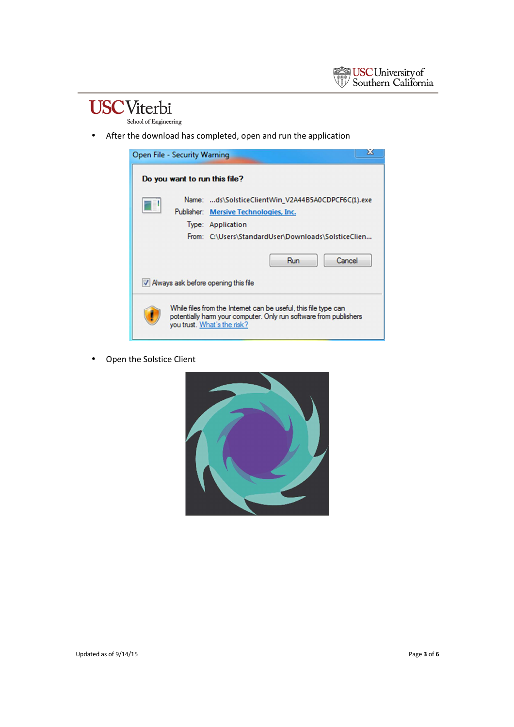### **USC**Viterbi

School of Engineering

• After the download has completed, open and run the application



• Open the Solstice Client

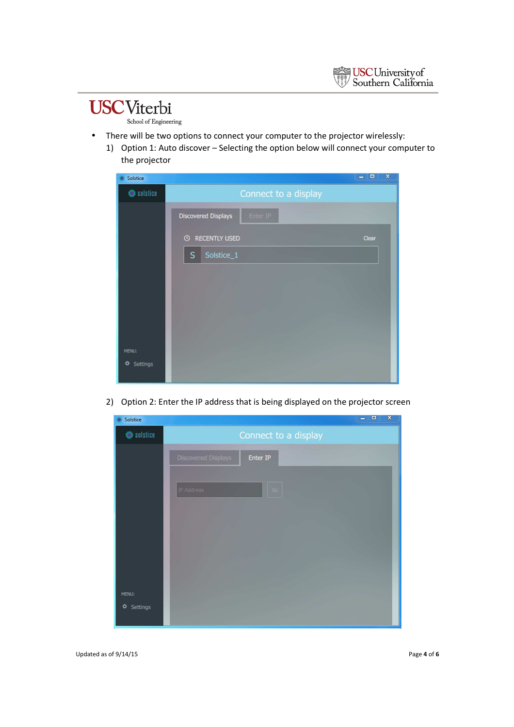

#### **USC**Viterbi School of Engineering

- There will be two options to connect your computer to the projector wirelessly:
	- 1) Option 1: Auto discover Selecting the option below will connect your computer to the projector

| Solstice      | $\blacksquare$                           | $\mathbf{x}$<br>▣ |
|---------------|------------------------------------------|-------------------|
| Solstice      | Connect to a display                     |                   |
|               | <b>Discovered Displays</b><br>Enter IP   |                   |
|               | <b>RECENTLY USED</b><br>$\odot$<br>Clear |                   |
|               | Solstice_1<br>$\sf S$                    |                   |
|               |                                          |                   |
|               |                                          |                   |
|               |                                          |                   |
|               |                                          |                   |
| MENU:         |                                          |                   |
| ❖<br>Settings |                                          |                   |
|               |                                          |                   |

2) Option 2: Enter the IP address that is being displayed on the projector screen



Updated as of 9/14/15 Page **4** of **6**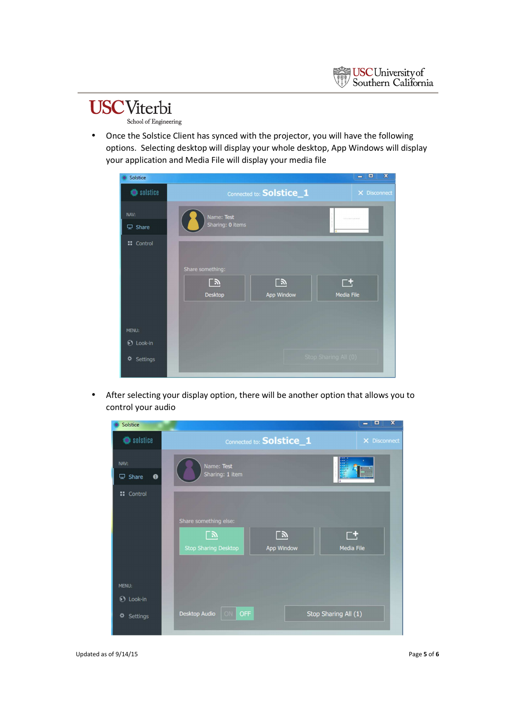

# **USC**Viterbi

- School of Engineering
- Once the Solstice Client has synced with the projector, you will have the following options. Selecting desktop will display your whole desktop, App Windows will display your application and Media File will display your media file

| Solstice                      |                                                 |                         | $\mathbf x$<br>▣<br>$\equiv$ |
|-------------------------------|-------------------------------------------------|-------------------------|------------------------------|
| Solstice                      | Connected to: Solstice_1                        |                         | X Disconnect                 |
| NAV:                          | Name: Test                                      |                         | the country of court         |
| $\overline{\mathbf{L}}$ Share | Sharing: 0 items                                |                         |                              |
| <b>::</b> Control             | Share something:<br><u>್ರ</u><br><b>Desktop</b> | <u>್ರ</u><br>App Window | $\Box$<br>Media File         |
| <b>MENU:</b>                  |                                                 |                         |                              |
| <b>1</b> Look-in              |                                                 |                         |                              |
| ☆<br>Settings                 |                                                 |                         | Stop Sharing All (0)         |

• After selecting your display option, there will be another option that allows you to control your audio

| Solstice                  | o<br>$\overline{\textbf{x}}$<br>-                                                                                                           |
|---------------------------|---------------------------------------------------------------------------------------------------------------------------------------------|
| Solstice                  | Connected to: Solstice_1<br>X Disconnect                                                                                                    |
| NAV:                      | Name: Test                                                                                                                                  |
| $\Box$ Share<br>$\bullet$ | Sharing: 1 item                                                                                                                             |
| <b>::</b> Control         | Share something else:<br><u>y</u><br><u>িস</u><br>$\overline{\Gamma}{}^+$<br><b>Media File</b><br>App Window<br><b>Stop Sharing Desktop</b> |
| MENU:                     |                                                                                                                                             |
| <b>1</b> Look-in          |                                                                                                                                             |
| ☆<br>Settings             | <b>Desktop Audio</b><br><b>OFF</b><br>Stop Sharing All (1)                                                                                  |